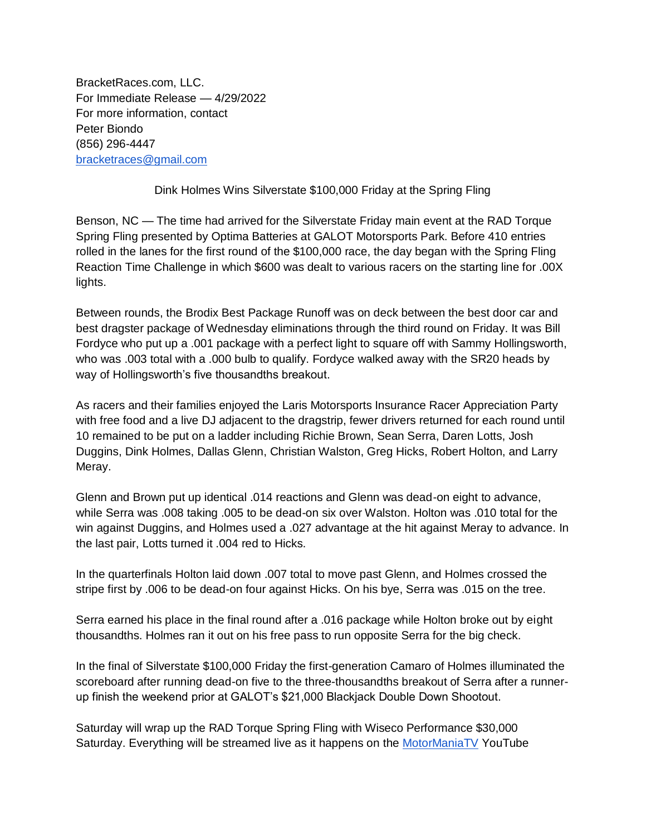BracketRaces.com, LLC. For Immediate Release — 4/29/2022 For more information, contact Peter Biondo (856) 296-4447 [bracketraces@gmail.com](mailto:bracketraces@gmail.com)

Dink Holmes Wins Silverstate \$100,000 Friday at the Spring Fling

Benson, NC — The time had arrived for the Silverstate Friday main event at the RAD Torque Spring Fling presented by Optima Batteries at GALOT Motorsports Park. Before 410 entries rolled in the lanes for the first round of the \$100,000 race, the day began with the Spring Fling Reaction Time Challenge in which \$600 was dealt to various racers on the starting line for .00X lights.

Between rounds, the Brodix Best Package Runoff was on deck between the best door car and best dragster package of Wednesday eliminations through the third round on Friday. It was Bill Fordyce who put up a .001 package with a perfect light to square off with Sammy Hollingsworth, who was .003 total with a .000 bulb to qualify. Fordyce walked away with the SR20 heads by way of Hollingsworth's five thousandths breakout.

As racers and their families enjoyed the Laris Motorsports Insurance Racer Appreciation Party with free food and a live DJ adjacent to the dragstrip, fewer drivers returned for each round until 10 remained to be put on a ladder including Richie Brown, Sean Serra, Daren Lotts, Josh Duggins, Dink Holmes, Dallas Glenn, Christian Walston, Greg Hicks, Robert Holton, and Larry Meray.

Glenn and Brown put up identical .014 reactions and Glenn was dead-on eight to advance, while Serra was .008 taking .005 to be dead-on six over Walston. Holton was .010 total for the win against Duggins, and Holmes used a .027 advantage at the hit against Meray to advance. In the last pair, Lotts turned it .004 red to Hicks.

In the quarterfinals Holton laid down .007 total to move past Glenn, and Holmes crossed the stripe first by .006 to be dead-on four against Hicks. On his bye, Serra was .015 on the tree.

Serra earned his place in the final round after a .016 package while Holton broke out by eight thousandths. Holmes ran it out on his free pass to run opposite Serra for the big check.

In the final of Silverstate \$100,000 Friday the first-generation Camaro of Holmes illuminated the scoreboard after running dead-on five to the three-thousandths breakout of Serra after a runnerup finish the weekend prior at GALOT's \$21,000 Blackjack Double Down Shootout.

Saturday will wrap up the RAD Torque Spring Fling with Wiseco Performance \$30,000 Saturday. Everything will be streamed live as it happens on the [MotorManiaTV](https://www.youtube.com/c/MotormaniaTV) YouTube